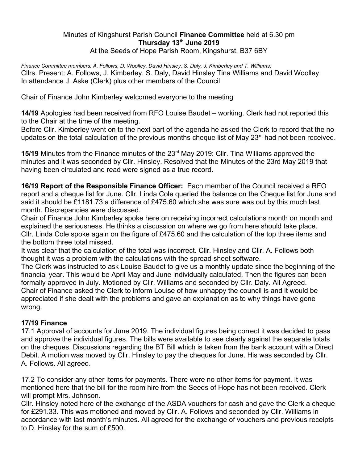## Minutes of Kingshurst Parish Council **Finance Committee** held at 6.30 pm **Thursday 13th June 2019** At the Seeds of Hope Parish Room, Kingshurst, B37 6BY

*Finance Committee members: A. Follows, D. Woolley, David Hinsley, S. Daly. J. Kimberley and T. Williams*. Cllrs. Present: A. Follows, J. Kimberley, S. Daly, David Hinsley Tina Williams and David Woolley. In attendance J. Aske (Clerk) plus other members of the Council

Chair of Finance John Kimberley welcomed everyone to the meeting

**14/19** Apologies had been received from RFO Louise Baudet – working. Clerk had not reported this to the Chair at the time of the meeting.

Before Cllr. Kimberley went on to the next part of the agenda he asked the Clerk to record that the no updates on the total calculation of the previous months cheque list of May 23 $^{\text{rd}}$  had not been received.

**15/19** Minutes from the Finance minutes of the 23rd May 2019: Cllr. Tina Williams approved the minutes and it was seconded by Cllr. Hinsley. Resolved that the Minutes of the 23rd May 2019 that having been circulated and read were signed as a true record.

**16/19 Report of the Responsible Finance Officer:** Each member of the Council received a RFO report and a cheque list for June. Cllr. Linda Cole queried the balance on the Cheque list for June and said it should be £1181.73 a difference of £475.60 which she was sure was out by this much last month. Discrepancies were discussed.

Chair of Finance John Kimberley spoke here on receiving incorrect calculations month on month and explained the seriousness. He thinks a discussion on where we go from here should take place. Cllr. Linda Cole spoke again on the figure of £475.60 and the calculation of the top three items and the bottom three total missed.

It was clear that the calculation of the total was incorrect. Cllr. Hinsley and Cllr. A. Follows both thought it was a problem with the calculations with the spread sheet software.

The Clerk was instructed to ask Louise Baudet to give us a monthly update since the beginning of the financial year. This would be April May and June individually calculated. Then the figures can been formally approved in July. Motioned by Cllr. Williams and seconded by Cllr. Daly. All Agreed. Chair of Finance asked the Clerk to inform Louise of how unhappy the council is and it would be appreciated if she dealt with the problems and gave an explanation as to why things have gone wrong.

## **17/19 Finance**

17.1 Approval of accounts for June 2019. The individual figures being correct it was decided to pass and approve the individual figures. The bills were available to see clearly against the separate totals on the cheques. Discussions regarding the BT Bill which is taken from the bank account with a Direct Debit. A motion was moved by Cllr. Hinsley to pay the cheques for June. His was seconded by Cllr. A. Follows. All agreed.

17.2 To consider any other items for payments. There were no other items for payment. It was mentioned here that the bill for the room hire from the Seeds of Hope has not been received. Clerk will prompt Mrs. Johnson.

Cllr. Hinsley noted here of the exchange of the ASDA vouchers for cash and gave the Clerk a cheque for £291.33. This was motioned and moved by Cllr. A. Follows and seconded by Cllr. Williams in accordance with last month's minutes. All agreed for the exchange of vouchers and previous receipts to D. Hinsley for the sum of £500.